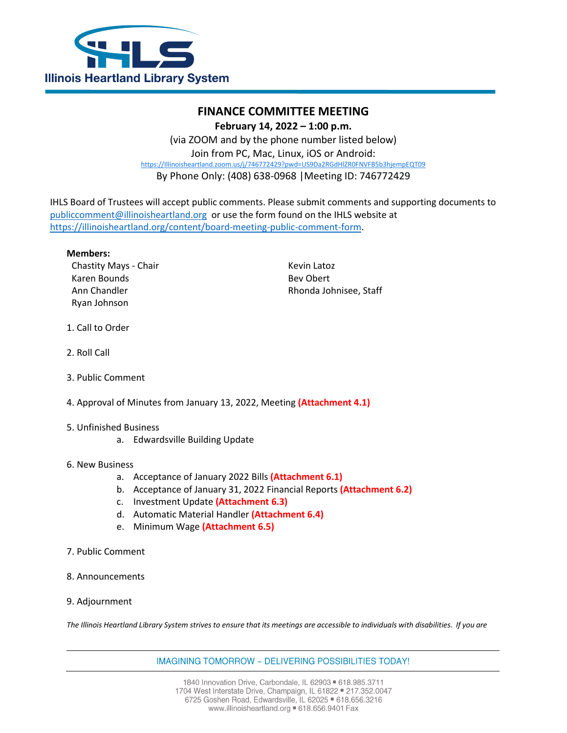

## **FINANCE COMMITTEE MEETING**

**February 14, 2022 – 1:00 p.m.**

(via ZOOM and by the phone number listed below) Join from PC, Mac, Linux, iOS or Android: [https://Illinoisheartland.zoom.us/j/746772429?pwd=US9Da2RGdHlZR0FNVFB5b3hjempEQT09](https://illinoisheartland.zoom.us/j/746772429?pwd=US9Da2RGdHlZR0FNVFB5b3hjempEQT09) By Phone Only: (408) 638-0968 |Meeting ID: 746772429

IHLS Board of Trustees will accept public comments. Please submit comments and supporting documents to [publiccomment@illinoisheartland.org](mailto:publiccomment@illinoisheartland.org) or use the form found on the IHLS website at [https://illinoisheartland.org/content/board-meeting-public-comment-form.](https://illinoisheartland.org/content/board-meeting-public-comment-form)

**Members:**

Chastity Mays - Chair **Kevin Latoz** Kevin Latoz Karen Bounds **Beville Except Contract Contract Contract Contract Contract Contract Contract Contract Contract Contract Contract Contract Contract Contract Contract Contract Contract Contract Contract Contract Contract Cont** Ryan Johnson

Ann Chandler **Rhonda Johnisee**, Staff

- 1. Call to Order
- 2. Roll Call
- 3. Public Comment
- 4. Approval of Minutes from January 13, 2022, Meeting **(Attachment 4.1)**
- 5. Unfinished Business
	- a. Edwardsville Building Update
- 6. New Business
	- a. Acceptance of January 2022 Bills **(Attachment 6.1)**
	- b. Acceptance of January 31, 2022 Financial Reports **(Attachment 6.2)**
	- c. Investment Update **(Attachment 6.3)**
	- d. Automatic Material Handler **(Attachment 6.4)**
	- e. Minimum Wage **(Attachment 6.5)**
- 7. Public Comment
- 8. Announcements
- 9. Adjournment

*The Illinois Heartland Library System strives to ensure that its meetings are accessible to individuals with disabilities. If you are* 

IMAGINING TOMORROW ~ DELIVERING POSSIBILITIES TODAY!